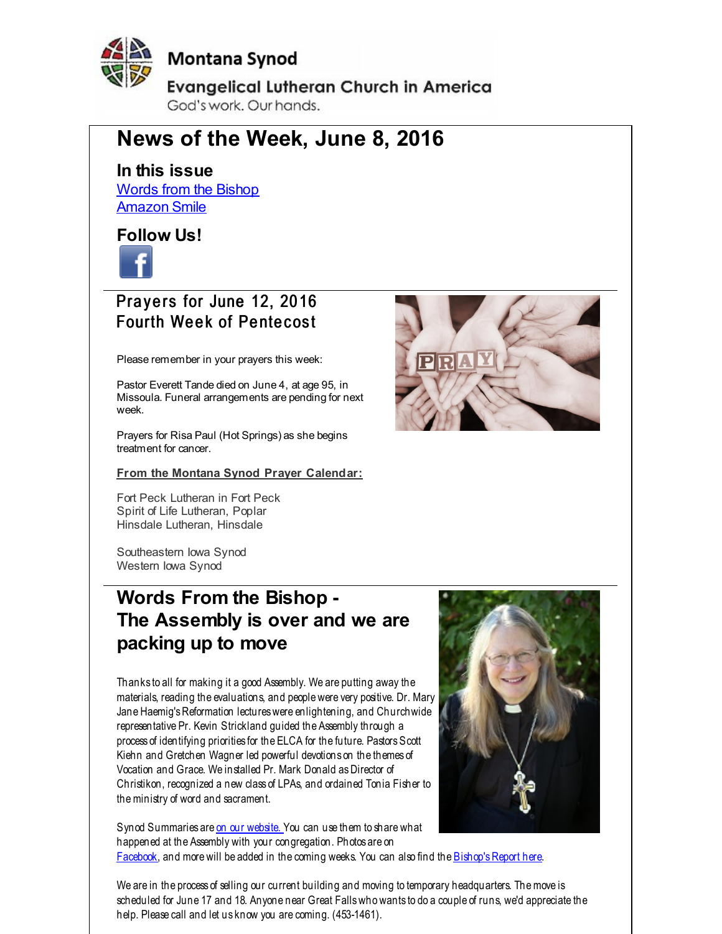<span id="page-0-0"></span>

**Montana Synod** 

**Evangelical Lutheran Church in America** God's work. Our hands.

# **News of the Week, June 8, 2016**

**In this issue** Words from the [Bishop](#page-0-0) [Amazon](#page-0-0) Smile

### **Follow Us!**



## Prayers for June 12, 2016 Fourth Week of Pentecost

Please remember in your prayers this week:

Pastor Everett Tande died on June 4, at age 95, in Missoula. Funeral arrangements are pending for next week.

Prayers for Risa Paul (Hot Springs) as she begins treatment for cancer.

#### **From the Montana Synod Prayer Calendar:**

Fort Peck Lutheran in Fort Peck Spirit of Life Lutheran, Poplar Hinsdale Lutheran, Hinsdale

Southeastern Iowa Synod Western Iowa Synod

## **Words From the Bishop - The Assembly is over and we are packing up to move**

Thanks to all for making it a good Assembly. We are putting away the materials, reading the evaluations, and people were very positive. Dr. Mary Jane Haemig's Reformation lectures were enlightening, and Churchwide representative Pr. Kevin Strickland guided the Assembly through a process of identifying priorities for the ELCA for the future. Pastors Scott Kiehn and Gretchen Wagner led powerful devotions on the themes of Vocation and Grace. We installed Pr. Mark Donald asDirector of Christikon, recognized a new class of LPAs, and ordained Tonia Fisher to theministry of word and sacrament.

Synod Summaries are on our [website.](http://r20.rs6.net/tn.jsp?f=0013uvc32HIsfsru-Zu2NiHBSnS19Mak3X6C6Tlh4dQV8LHilXhuvahd9qYsVohjNots58BDt-iv_TSpg4Os2iBT-GLgWzYkcJaMRjPnStHbb6WtXxgIFJ5KlzhqrkyoW797lQh9YdQvJkehp8HaKNwOe3bSyi2tAwLlkQjb6kMFO7V-w7MQBo89g==&c=&ch=) You can use them to share what happened at the Assembly with your congregation. Photos are on [Facebook](http://r20.rs6.net/tn.jsp?f=0013uvc32HIsfsru-Zu2NiHBSnS19Mak3X6C6Tlh4dQV8LHilXhuvahd_CrrjOV1xK4_KkzYq_zsBsoLhX4rLUIW35XD4zsL42-WnsnfEjzlikw0P955iktJd4jO4aCMaEe_q8VZYUAVDJAnGt5tAFS_Z3KHh0h2RoO3SjNphsD5_m4QhAdfGuc6xTue70o4aSO9aFiYdBIQfk=&c=&ch=), and more will be added in the coming weeks. You can also find the Bishop's Report here.



We are in the process of selling our current building and moving to temporary headquarters. Themove is scheduled for June 17 and 18. Anyone near Great Fallswho wants to do a couple of runs, we'd appreciate the help. Please call and let us know you are coming. (453-1461).